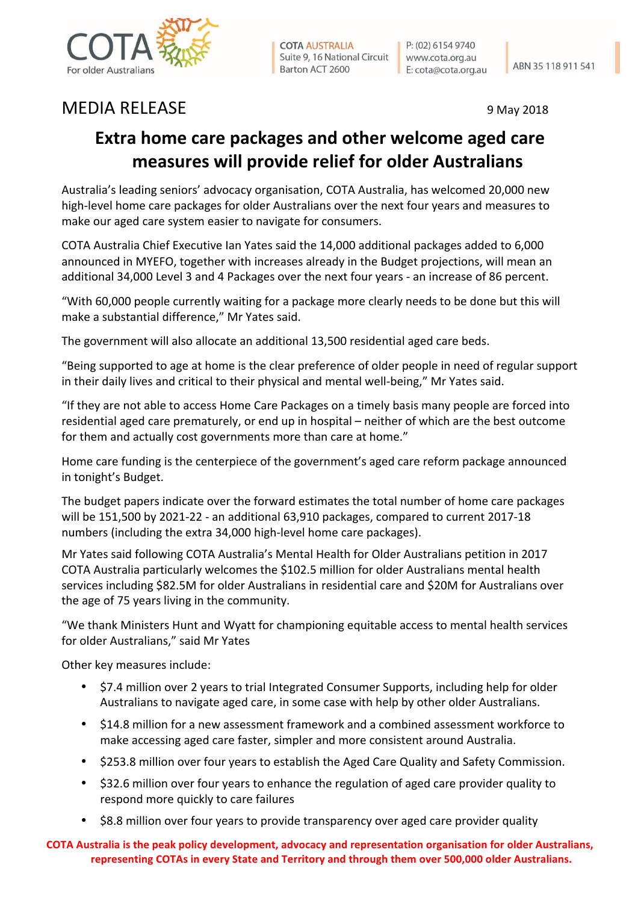

**COTA AUSTRALIA** Suite 9, 16 National Circuit Barton ACT 2600

P: (02) 6154 9740 www.cota.org.au E: cota@cota.org.au

## MEDIA RELEASE 9 May 2018

## **Extra home care packages and other welcome aged care measures will provide relief for older Australians**

Australia's leading seniors' advocacy organisation, COTA Australia, has welcomed 20,000 new high-level home care packages for older Australians over the next four years and measures to make our aged care system easier to navigate for consumers.

COTA Australia Chief Executive Ian Yates said the 14,000 additional packages added to 6,000 announced in MYEFO, together with increases already in the Budget projections, will mean an additional 34,000 Level 3 and 4 Packages over the next four years - an increase of 86 percent.

"With 60,000 people currently waiting for a package more clearly needs to be done but this will make a substantial difference," Mr Yates said.

The government will also allocate an additional 13,500 residential aged care beds.

"Being supported to age at home is the clear preference of older people in need of regular support in their daily lives and critical to their physical and mental well-being," Mr Yates said.

"If they are not able to access Home Care Packages on a timely basis many people are forced into residential aged care prematurely, or end up in hospital – neither of which are the best outcome for them and actually cost governments more than care at home."

Home care funding is the centerpiece of the government's aged care reform package announced in tonight's Budget.

The budget papers indicate over the forward estimates the total number of home care packages will be  $151,500$  by  $2021-22$  - an additional  $63,910$  packages, compared to current  $2017-18$ numbers (including the extra 34,000 high-level home care packages).

Mr Yates said following COTA Australia's Mental Health for Older Australians petition in 2017 COTA Australia particularly welcomes the \$102.5 million for older Australians mental health services including \$82.5M for older Australians in residential care and \$20M for Australians over the age of 75 years living in the community.

"We thank Ministers Hunt and Wyatt for championing equitable access to mental health services for older Australians," said Mr Yates

Other key measures include:

- \$7.4 million over 2 years to trial Integrated Consumer Supports, including help for older Australians to navigate aged care, in some case with help by other older Australians.
- \$14.8 million for a new assessment framework and a combined assessment workforce to make accessing aged care faster, simpler and more consistent around Australia.
- \$253.8 million over four years to establish the Aged Care Quality and Safety Commission.
- \$32.6 million over four years to enhance the regulation of aged care provider quality to respond more quickly to care failures
- \$8.8 million over four years to provide transparency over aged care provider quality

**COTA** Australia is the peak policy development, advocacy and representation organisation for older Australians, representing COTAs in every State and Territory and through them over 500,000 older Australians.